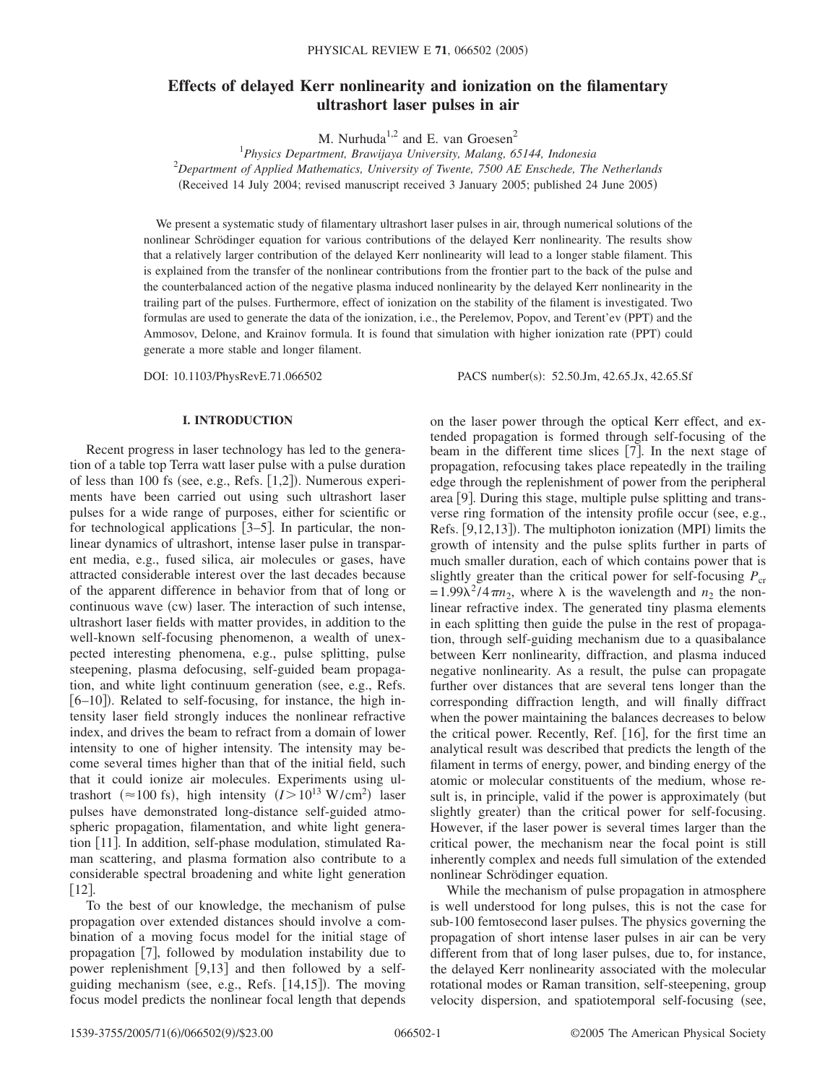# **Effects of delayed Kerr nonlinearity and ionization on the filamentary ultrashort laser pulses in air**

M. Nurhuda<sup>1,2</sup> and E. van Groesen<sup>2</sup>

1 *Physics Department, Brawijaya University, Malang, 65144, Indonesia* 2 *Department of Applied Mathematics, University of Twente, 7500 AE Enschede, The Netherlands* (Received 14 July 2004; revised manuscript received 3 January 2005; published 24 June 2005)

We present a systematic study of filamentary ultrashort laser pulses in air, through numerical solutions of the nonlinear Schrödinger equation for various contributions of the delayed Kerr nonlinearity. The results show that a relatively larger contribution of the delayed Kerr nonlinearity will lead to a longer stable filament. This is explained from the transfer of the nonlinear contributions from the frontier part to the back of the pulse and the counterbalanced action of the negative plasma induced nonlinearity by the delayed Kerr nonlinearity in the trailing part of the pulses. Furthermore, effect of ionization on the stability of the filament is investigated. Two formulas are used to generate the data of the ionization, i.e., the Perelemov, Popov, and Terent'ev (PPT) and the Ammosov, Delone, and Krainov formula. It is found that simulation with higher ionization rate (PPT) could generate a more stable and longer filament.

DOI: 10.1103/PhysRevE.71.066502

PACS number(s): 52.50.Jm, 42.65.Jx, 42.65.Sf

### **I. INTRODUCTION**

Recent progress in laser technology has led to the generation of a table top Terra watt laser pulse with a pulse duration of less than 100 fs (see, e.g., Refs. [1,2]). Numerous experiments have been carried out using such ultrashort laser pulses for a wide range of purposes, either for scientific or for technological applications  $[3-5]$ . In particular, the nonlinear dynamics of ultrashort, intense laser pulse in transparent media, e.g., fused silica, air molecules or gases, have attracted considerable interest over the last decades because of the apparent difference in behavior from that of long or continuous wave (cw) laser. The interaction of such intense, ultrashort laser fields with matter provides, in addition to the well-known self-focusing phenomenon, a wealth of unexpected interesting phenomena, e.g., pulse splitting, pulse steepening, plasma defocusing, self-guided beam propagation, and white light continuum generation (see, e.g., Refs. [6-10]). Related to self-focusing, for instance, the high intensity laser field strongly induces the nonlinear refractive index, and drives the beam to refract from a domain of lower intensity to one of higher intensity. The intensity may become several times higher than that of the initial field, such that it could ionize air molecules. Experiments using ultrashort ( $\approx$ 100 fs), high intensity ( $I > 10^{13}$  W/cm<sup>2</sup>) laser pulses have demonstrated long-distance self-guided atmospheric propagation, filamentation, and white light generation [11]. In addition, self-phase modulation, stimulated Raman scattering, and plasma formation also contribute to a considerable spectral broadening and white light generation  $\lceil 12 \rceil$ .

To the best of our knowledge, the mechanism of pulse propagation over extended distances should involve a combination of a moving focus model for the initial stage of propagation [7], followed by modulation instability due to power replenishment  $[9,13]$  and then followed by a selfguiding mechanism (see, e.g., Refs. [14,15]). The moving focus model predicts the nonlinear focal length that depends on the laser power through the optical Kerr effect, and extended propagation is formed through self-focusing of the beam in the different time slices [7]. In the next stage of propagation, refocusing takes place repeatedly in the trailing edge through the replenishment of power from the peripheral area  $[9]$ . During this stage, multiple pulse splitting and transverse ring formation of the intensity profile occur (see, e.g., Refs. [9,12,13]). The multiphoton ionization (MPI) limits the growth of intensity and the pulse splits further in parts of much smaller duration, each of which contains power that is slightly greater than the critical power for self-focusing  $P_{cr}$  $= 1.99\lambda^2/4\pi n_2$ , where  $\lambda$  is the wavelength and  $n_2$  the nonlinear refractive index. The generated tiny plasma elements in each splitting then guide the pulse in the rest of propagation, through self-guiding mechanism due to a quasibalance between Kerr nonlinearity, diffraction, and plasma induced negative nonlinearity. As a result, the pulse can propagate further over distances that are several tens longer than the corresponding diffraction length, and will finally diffract when the power maintaining the balances decreases to below the critical power. Recently, Ref.  $[16]$ , for the first time an analytical result was described that predicts the length of the filament in terms of energy, power, and binding energy of the atomic or molecular constituents of the medium, whose result is, in principle, valid if the power is approximately (but slightly greater) than the critical power for self-focusing. However, if the laser power is several times larger than the critical power, the mechanism near the focal point is still inherently complex and needs full simulation of the extended nonlinear Schrödinger equation.

While the mechanism of pulse propagation in atmosphere is well understood for long pulses, this is not the case for sub-100 femtosecond laser pulses. The physics governing the propagation of short intense laser pulses in air can be very different from that of long laser pulses, due to, for instance, the delayed Kerr nonlinearity associated with the molecular rotational modes or Raman transition, self-steepening, group velocity dispersion, and spatiotemporal self-focusing (see,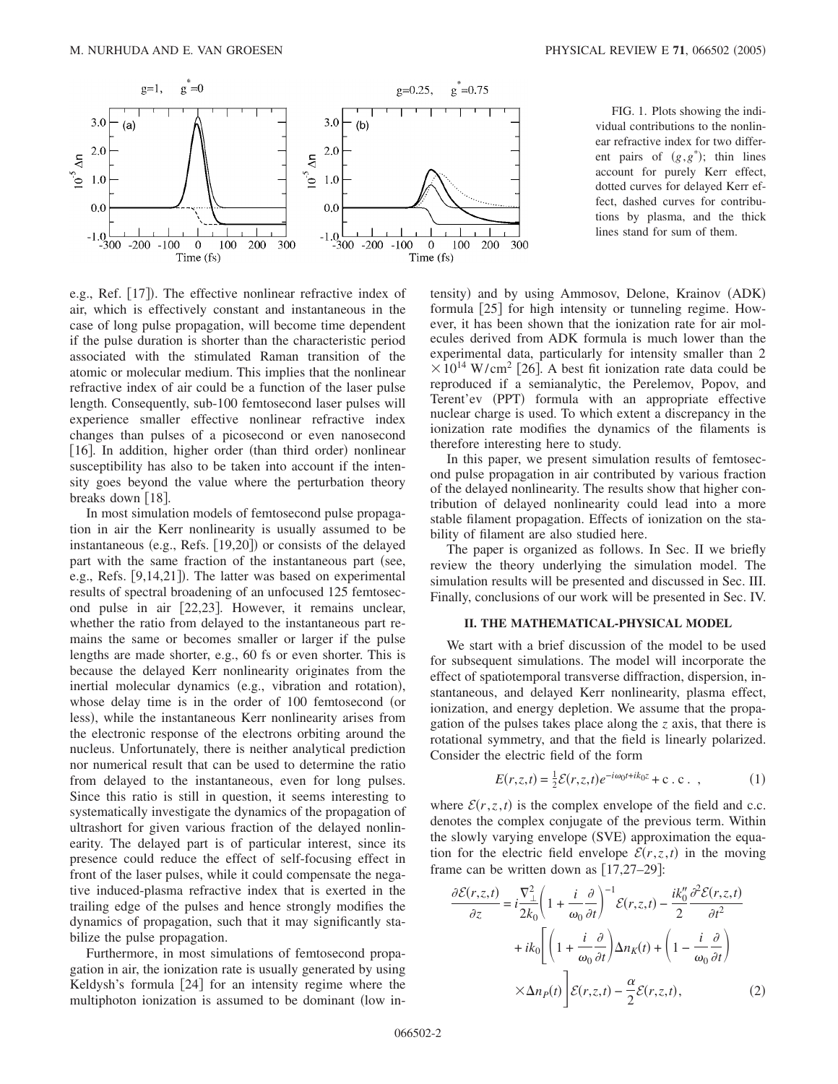

FIG. 1. Plots showing the individual contributions to the nonlinear refractive index for two different pairs of  $(g,g^*)$ ; thin lines account for purely Kerr effect, dotted curves for delayed Kerr effect, dashed curves for contributions by plasma, and the thick lines stand for sum of them.

e.g., Ref. [17]). The effective nonlinear refractive index of air, which is effectively constant and instantaneous in the case of long pulse propagation, will become time dependent if the pulse duration is shorter than the characteristic period associated with the stimulated Raman transition of the atomic or molecular medium. This implies that the nonlinear refractive index of air could be a function of the laser pulse length. Consequently, sub-100 femtosecond laser pulses will experience smaller effective nonlinear refractive index changes than pulses of a picosecond or even nanosecond [16]. In addition, higher order (than third order) nonlinear susceptibility has also to be taken into account if the intensity goes beyond the value where the perturbation theory breaks down  $\lceil 18 \rceil$ .

In most simulation models of femtosecond pulse propagation in air the Kerr nonlinearity is usually assumed to be instantaneous (e.g., Refs. [19,20]) or consists of the delayed part with the same fraction of the instantaneous part (see, e.g., Refs. [9,14,21]). The latter was based on experimental results of spectral broadening of an unfocused 125 femtosecond pulse in air [22,23]. However, it remains unclear, whether the ratio from delayed to the instantaneous part remains the same or becomes smaller or larger if the pulse lengths are made shorter, e.g., 60 fs or even shorter. This is because the delayed Kerr nonlinearity originates from the inertial molecular dynamics (e.g., vibration and rotation), whose delay time is in the order of 100 femtosecond (or less), while the instantaneous Kerr nonlinearity arises from the electronic response of the electrons orbiting around the nucleus. Unfortunately, there is neither analytical prediction nor numerical result that can be used to determine the ratio from delayed to the instantaneous, even for long pulses. Since this ratio is still in question, it seems interesting to systematically investigate the dynamics of the propagation of ultrashort for given various fraction of the delayed nonlinearity. The delayed part is of particular interest, since its presence could reduce the effect of self-focusing effect in front of the laser pulses, while it could compensate the negative induced-plasma refractive index that is exerted in the trailing edge of the pulses and hence strongly modifies the dynamics of propagation, such that it may significantly stabilize the pulse propagation.

Furthermore, in most simulations of femtosecond propagation in air, the ionization rate is usually generated by using Keldysh's formula  $[24]$  for an intensity regime where the multiphoton ionization is assumed to be dominant (low in-

tensity) and by using Ammosov, Delone, Krainov (ADK) formula [25] for high intensity or tunneling regime. However, it has been shown that the ionization rate for air molecules derived from ADK formula is much lower than the experimental data, particularly for intensity smaller than 2  $\times 10^{14}$  W/cm<sup>2</sup> [26]. A best fit ionization rate data could be reproduced if a semianalytic, the Perelemov, Popov, and Terent'ev (PPT) formula with an appropriate effective nuclear charge is used. To which extent a discrepancy in the ionization rate modifies the dynamics of the filaments is therefore interesting here to study.

In this paper, we present simulation results of femtosecond pulse propagation in air contributed by various fraction of the delayed nonlinearity. The results show that higher contribution of delayed nonlinearity could lead into a more stable filament propagation. Effects of ionization on the stability of filament are also studied here.

The paper is organized as follows. In Sec. II we briefly review the theory underlying the simulation model. The simulation results will be presented and discussed in Sec. III. Finally, conclusions of our work will be presented in Sec. IV.

# **II. THE MATHEMATICAL-PHYSICAL MODEL**

We start with a brief discussion of the model to be used for subsequent simulations. The model will incorporate the effect of spatiotemporal transverse diffraction, dispersion, instantaneous, and delayed Kerr nonlinearity, plasma effect, ionization, and energy depletion. We assume that the propagation of the pulses takes place along the *z* axis, that there is rotational symmetry, and that the field is linearly polarized. Consider the electric field of the form

$$
E(r, z, t) = \frac{1}{2} \mathcal{E}(r, z, t) e^{-i\omega_0 t + ik_0 z} + c \cdot c \quad , \tag{1}
$$

where  $\mathcal{E}(r, z, t)$  is the complex envelope of the field and c.c. denotes the complex conjugate of the previous term. Within the slowly varying envelope (SVE) approximation the equation for the electric field envelope  $\mathcal{E}(r, z, t)$  in the moving frame can be written down as  $[17,27-29]$ :

$$
\frac{\partial \mathcal{E}(r,z,t)}{\partial z} = i \frac{\nabla_{\perp}^{2}}{2k_{0}} \left( 1 + \frac{i}{\omega_{0}} \frac{\partial}{\partial t} \right)^{-1} \mathcal{E}(r,z,t) - \frac{i k_{0}^{\prime \prime}}{2} \frac{\partial^{2} \mathcal{E}(r,z,t)}{\partial t^{2}} + i k_{0} \left[ \left( 1 + \frac{i}{\omega_{0}} \frac{\partial}{\partial t} \right) \Delta n_{K}(t) + \left( 1 - \frac{i}{\omega_{0}} \frac{\partial}{\partial t} \right) \right] \times \Delta n_{P}(t) \left] \mathcal{E}(r,z,t) - \frac{\alpha}{2} \mathcal{E}(r,z,t), \tag{2}
$$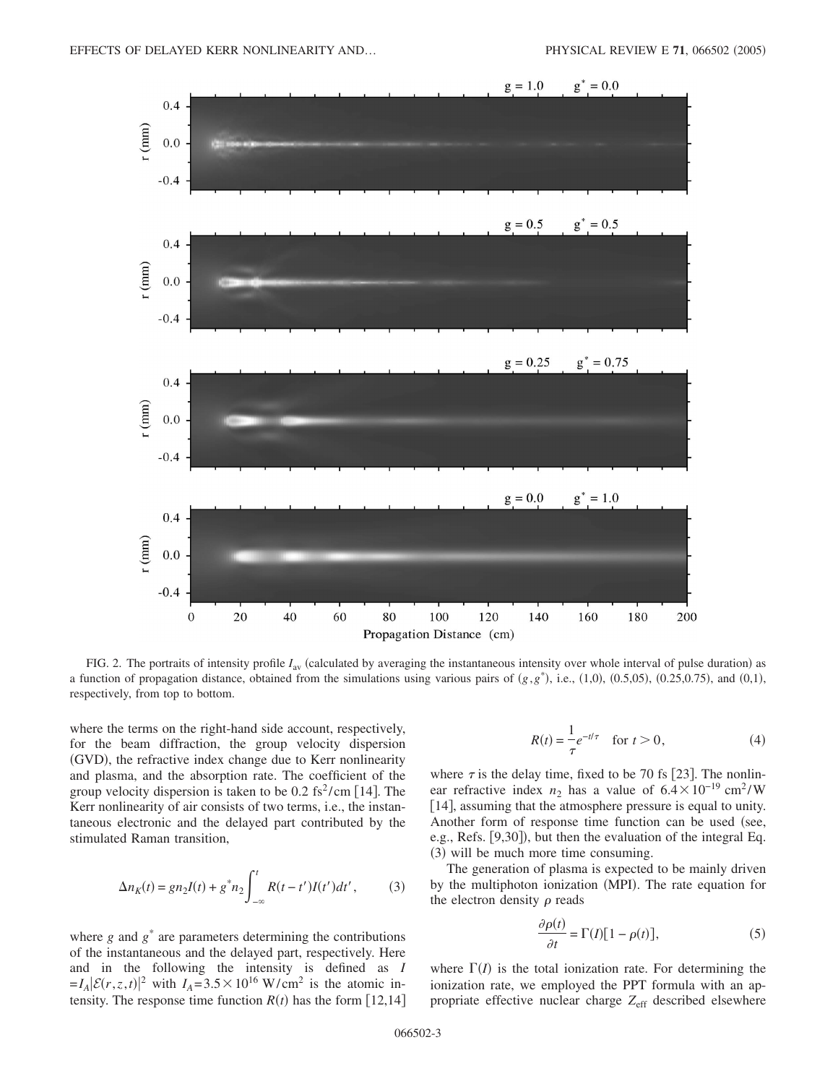

FIG. 2. The portraits of intensity profile  $I_{\text{av}}$  (calculated by averaging the instantaneous intensity over whole interval of pulse duration) as a function of propagation distance, obtained from the simulations using various pairs of  $(g, g^*)$ , i.e.,  $(1,0)$ ,  $(0.5,05)$ ,  $(0.25,0.75)$ , and  $(0,1)$ , respectively, from top to bottom.

where the terms on the right-hand side account, respectively, for the beam diffraction, the group velocity dispersion (GVD), the refractive index change due to Kerr nonlinearity and plasma, and the absorption rate. The coefficient of the group velocity dispersion is taken to be 0.2 fs<sup>2</sup>/cm [14]. The Kerr nonlinearity of air consists of two terms, i.e., the instantaneous electronic and the delayed part contributed by the stimulated Raman transition,

$$
\Delta n_K(t) = gn_2I(t) + g^*n_2 \int_{-\infty}^t R(t - t')I(t')dt',
$$
 (3)

where  $g$  and  $g^*$  are parameters determining the contributions of the instantaneous and the delayed part, respectively. Here and in the following the intensity is defined as *I*  $=I_A\left|\mathcal{E}(r,z,t)\right|^2$  with  $I_A=3.5\times10^{16}$  W/cm<sup>2</sup> is the atomic intensity. The response time function  $R(t)$  has the form [12,14]

$$
R(t) = \frac{1}{\tau} e^{-t/\tau} \quad \text{for } t > 0,
$$
\n<sup>(4)</sup>

where  $\tau$  is the delay time, fixed to be 70 fs [23]. The nonlinear refractive index  $n_2$  has a value of  $6.4 \times 10^{-19}$  cm<sup>2</sup>/W [14], assuming that the atmosphere pressure is equal to unity. Another form of response time function can be used (see, e.g., Refs. [9,30]), but then the evaluation of the integral Eq. (3) will be much more time consuming.

The generation of plasma is expected to be mainly driven by the multiphoton ionization (MPI). The rate equation for the electron density  $\rho$  reads

$$
\frac{\partial \rho(t)}{\partial t} = \Gamma(I)[1 - \rho(t)],\tag{5}
$$

where  $\Gamma(I)$  is the total ionization rate. For determining the ionization rate, we employed the PPT formula with an appropriate effective nuclear charge Z<sub>eff</sub> described elsewhere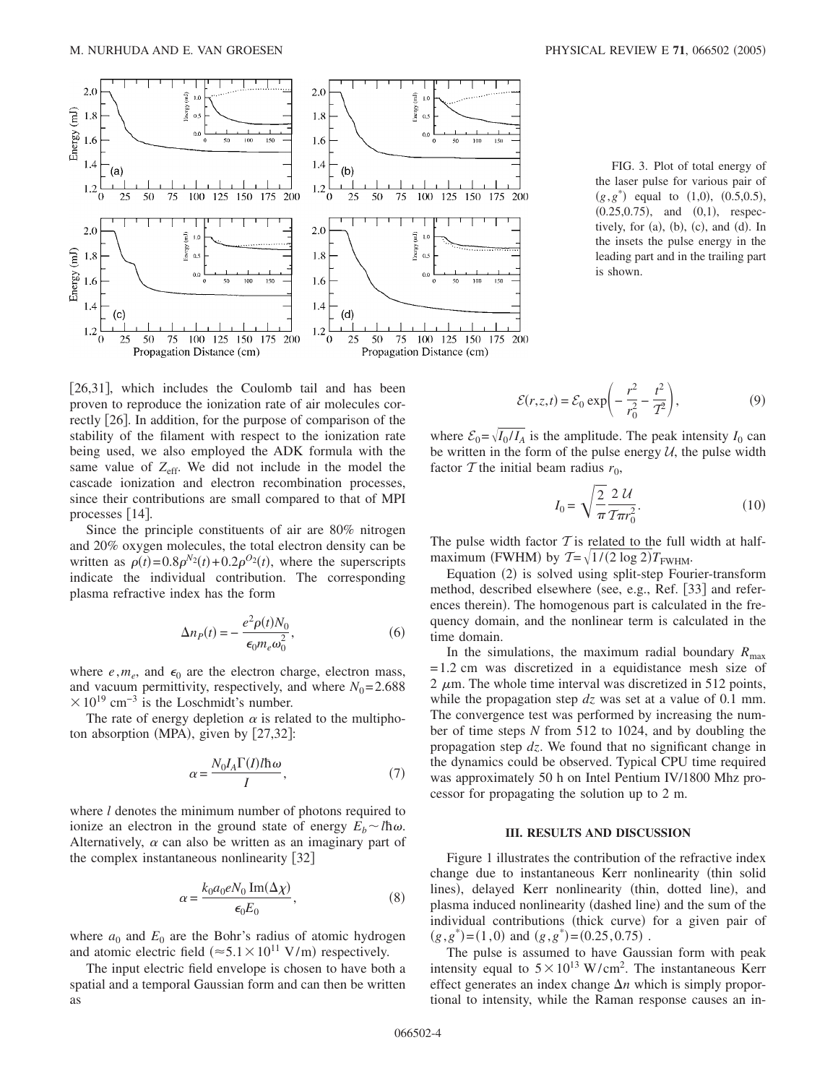

FIG. 3. Plot of total energy of the laser pulse for various pair of  $(g, g^*)$  equal to  $(1,0), (0.5,0.5),$  $(0.25, 0.75)$ , and  $(0, 1)$ , respectively, for  $(a)$ ,  $(b)$ ,  $(c)$ , and  $(d)$ . In the insets the pulse energy in the leading part and in the trailing part is shown.

[26,31], which includes the Coulomb tail and has been proven to reproduce the ionization rate of air molecules correctly [26]. In addition, for the purpose of comparison of the stability of the filament with respect to the ionization rate being used, we also employed the ADK formula with the same value of 
$$
Z_{\rm eff}
$$
. We did not include in the model the cascade ionization and electron recombination processes, since their contributions are small compared to that of MPI processes [14].

Since the principle constituents of air are 80% nitrogen and 20% oxygen molecules, the total electron density can be written as  $\rho(t) = 0.8 \rho^{N_2}(t) + 0.2 \rho^{O_2}(t)$ , where the superscripts indicate the individual contribution. The corresponding plasma refractive index has the form

$$
\Delta n_P(t) = -\frac{e^2 \rho(t) N_0}{\epsilon_0 m_e \omega_0^2},\tag{6}
$$

where  $e, m_e$ , and  $\epsilon_0$  are the electron charge, electron mass, and vacuum permittivity, respectively, and where  $N_0 = 2.688$  $\times 10^{19}$  cm<sup>-3</sup> is the Loschmidt's number.

The rate of energy depletion  $\alpha$  is related to the multiphoton absorption (MPA), given by  $[27,32]$ :

$$
\alpha = \frac{N_0 I_A \Gamma(l) l \hbar \omega}{I},\tag{7}
$$

where *l* denotes the minimum number of photons required to ionize an electron in the ground state of energy  $E_b \sim l \hbar \omega$ . Alternatively,  $\alpha$  can also be written as an imaginary part of the complex instantaneous nonlinearity [32]

$$
\alpha = \frac{k_0 a_0 e N_0 \operatorname{Im}(\Delta \chi)}{\epsilon_0 E_0},\tag{8}
$$

where  $a_0$  and  $E_0$  are the Bohr's radius of atomic hydrogen and atomic electric field ( $\approx$  5.1  $\times$  10<sup>11</sup> V/m) respectively.

The input electric field envelope is chosen to have both a spatial and a temporal Gaussian form and can then be written as

$$
\mathcal{E}(r, z, t) = \mathcal{E}_0 \exp\left(-\frac{r^2}{r_0^2} - \frac{t^2}{T^2}\right),\tag{9}
$$

where  $\mathcal{E}_0 = \sqrt{I_0/I_A}$  is the amplitude. The peak intensity  $I_0$  can be written in the form of the pulse energy  $U$ , the pulse width factor T the initial beam radius  $r_0$ ,

$$
I_0 = \sqrt{\frac{2}{\pi}} \frac{2 \mathcal{U}}{2 \pi r_0^2}.
$$
 (10)

The pulse width factor  $T$  is related to the full width at halfmaximum (FWHM) by  $T = \sqrt{1/(2 \log 2)} T_{\text{FWHM}}$ .

Equation (2) is solved using split-step Fourier-transform method, described elsewhere (see, e.g., Ref. [33] and references therein). The homogenous part is calculated in the frequency domain, and the nonlinear term is calculated in the time domain.

In the simulations, the maximum radial boundary  $R_{\text{max}}$ = 1.2 cm was discretized in a equidistance mesh size of 2  $\mu$ m. The whole time interval was discretized in 512 points, while the propagation step  $dz$  was set at a value of 0.1 mm. The convergence test was performed by increasing the number of time steps *N* from 512 to 1024, and by doubling the propagation step *dz*. We found that no significant change in the dynamics could be observed. Typical CPU time required was approximately 50 h on Intel Pentium IV/1800 Mhz processor for propagating the solution up to 2 m.

## **III. RESULTS AND DISCUSSION**

Figure 1 illustrates the contribution of the refractive index change due to instantaneous Kerr nonlinearity thin solid lines), delayed Kerr nonlinearity (thin, dotted line), and plasma induced nonlinearity (dashed line) and the sum of the individual contributions (thick curve) for a given pair of  $(g, g^*) = (1, 0)$  and  $(g, g^*) = (0.25, 0.75)$ .

The pulse is assumed to have Gaussian form with peak intensity equal to  $5 \times 10^{13}$  W/cm<sup>2</sup>. The instantaneous Kerr effect generates an index change  $\Delta n$  which is simply proportional to intensity, while the Raman response causes an in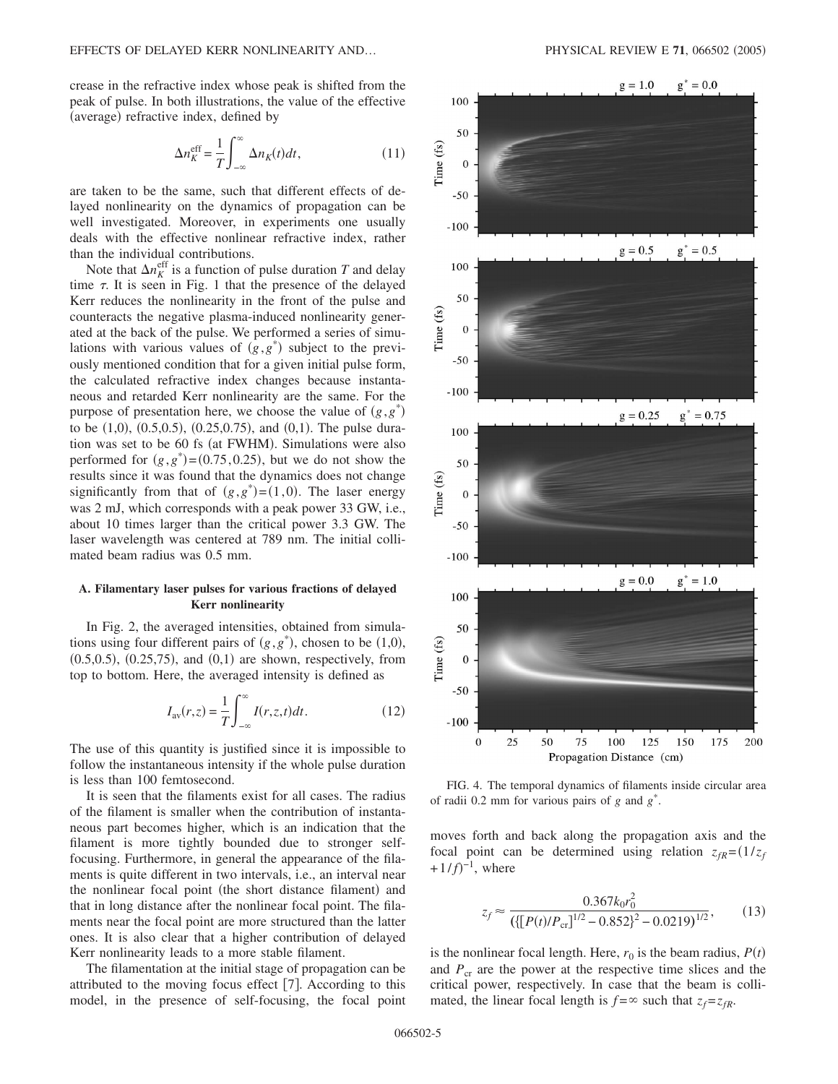crease in the refractive index whose peak is shifted from the peak of pulse. In both illustrations, the value of the effective (average) refractive index, defined by

$$
\Delta n_K^{\text{eff}} = \frac{1}{T} \int_{-\infty}^{\infty} \Delta n_K(t) dt, \qquad (11)
$$

are taken to be the same, such that different effects of delayed nonlinearity on the dynamics of propagation can be well investigated. Moreover, in experiments one usually deals with the effective nonlinear refractive index, rather than the individual contributions.

Note that  $\Delta n_K^{\text{eff}}$  is a function of pulse duration *T* and delay time  $\tau$ . It is seen in Fig. 1 that the presence of the delayed Kerr reduces the nonlinearity in the front of the pulse and counteracts the negative plasma-induced nonlinearity generated at the back of the pulse. We performed a series of simulations with various values of  $(g, g^*)$  subject to the previously mentioned condition that for a given initial pulse form, the calculated refractive index changes because instantaneous and retarded Kerr nonlinearity are the same. For the purpose of presentation here, we choose the value of  $(g, g^*)$ to be  $(1,0)$ ,  $(0.5,0.5)$ ,  $(0.25,0.75)$ , and  $(0,1)$ . The pulse duration was set to be 60 fs (at FWHM). Simulations were also performed for  $(g, g^*) = (0.75, 0.25)$ , but we do not show the results since it was found that the dynamics does not change significantly from that of  $(g, g^*) = (1, 0)$ . The laser energy was 2 mJ, which corresponds with a peak power 33 GW, i.e., about 10 times larger than the critical power 3.3 GW. The laser wavelength was centered at 789 nm. The initial collimated beam radius was 0.5 mm.

# **A. Filamentary laser pulses for various fractions of delayed Kerr nonlinearity**

In Fig. 2, the averaged intensities, obtained from simulations using four different pairs of  $(g, g^*)$ , chosen to be  $(1,0)$ ,  $(0.5, 0.5), (0.25, 75),$  and  $(0, 1)$  are shown, respectively, from top to bottom. Here, the averaged intensity is defined as

$$
I_{\rm av}(r,z) = \frac{1}{T} \int_{-\infty}^{\infty} I(r,z,t)dt.
$$
 (12)

The use of this quantity is justified since it is impossible to follow the instantaneous intensity if the whole pulse duration is less than 100 femtosecond.

It is seen that the filaments exist for all cases. The radius of the filament is smaller when the contribution of instantaneous part becomes higher, which is an indication that the filament is more tightly bounded due to stronger selffocusing. Furthermore, in general the appearance of the filaments is quite different in two intervals, i.e., an interval near the nonlinear focal point (the short distance filament) and that in long distance after the nonlinear focal point. The filaments near the focal point are more structured than the latter ones. It is also clear that a higher contribution of delayed Kerr nonlinearity leads to a more stable filament.

The filamentation at the initial stage of propagation can be attributed to the moving focus effect  $[7]$ . According to this model, in the presence of self-focusing, the focal point



FIG. 4. The temporal dynamics of filaments inside circular area of radii 0.2 mm for various pairs of *g* and *g*\*.

moves forth and back along the propagation axis and the focal point can be determined using relation  $z_{fR} = (1/z_f)$  $+1/f$ <sup> $-1$ </sup>, where

$$
z_f \approx \frac{0.367 k_0 r_0^2}{\left(\left\{ [P(t)/P_{\rm cr}]^{1/2} - 0.852 \right\}^2 - 0.0219 \right)^{1/2}},\tag{13}
$$

is the nonlinear focal length. Here,  $r_0$  is the beam radius,  $P(t)$ and  $P_{cr}$  are the power at the respective time slices and the critical power, respectively. In case that the beam is collimated, the linear focal length is  $f = \infty$  such that  $z_f = z_{fR}$ .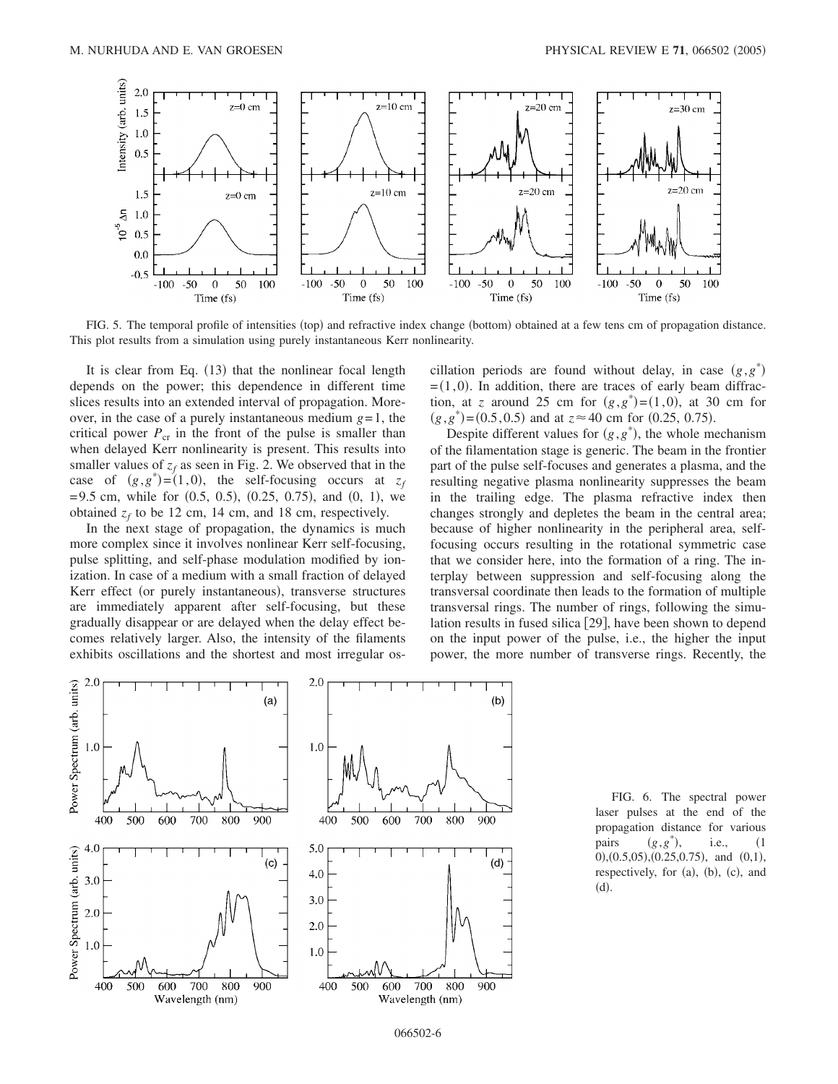

FIG. 5. The temporal profile of intensities (top) and refractive index change (bottom) obtained at a few tens cm of propagation distance. This plot results from a simulation using purely instantaneous Kerr nonlinearity.

It is clear from Eq. (13) that the nonlinear focal length depends on the power; this dependence in different time slices results into an extended interval of propagation. Moreover, in the case of a purely instantaneous medium  $g=1$ , the critical power  $P_{cr}$  in the front of the pulse is smaller than when delayed Kerr nonlinearity is present. This results into smaller values of  $z_f$  as seen in Fig. 2. We observed that in the case of  $(g, g^*) = (1,0)$ , the self-focusing occurs at  $z_f$  $= 9.5$  cm, while for  $(0.5, 0.5)$ ,  $(0.25, 0.75)$ , and  $(0, 1)$ , we obtained  $z_f$  to be 12 cm, 14 cm, and 18 cm, respectively.

In the next stage of propagation, the dynamics is much more complex since it involves nonlinear Kerr self-focusing, pulse splitting, and self-phase modulation modified by ionization. In case of a medium with a small fraction of delayed Kerr effect (or purely instantaneous), transverse structures are immediately apparent after self-focusing, but these gradually disappear or are delayed when the delay effect becomes relatively larger. Also, the intensity of the filaments exhibits oscillations and the shortest and most irregular oscillation periods are found without delay, in case  $(g, g^*)$  $=(1,0)$ . In addition, there are traces of early beam diffraction, at *z* around 25 cm for  $(g, g^*) = (1, 0)$ , at 30 cm for  $(g, g^*) = (0.5, 0.5)$  and at  $z \approx 40$  cm for (0.25, 0.75).

Despite different values for  $(g, g^*)$ , the whole mechanism of the filamentation stage is generic. The beam in the frontier part of the pulse self-focuses and generates a plasma, and the resulting negative plasma nonlinearity suppresses the beam in the trailing edge. The plasma refractive index then changes strongly and depletes the beam in the central area; because of higher nonlinearity in the peripheral area, selffocusing occurs resulting in the rotational symmetric case that we consider here, into the formation of a ring. The interplay between suppression and self-focusing along the transversal coordinate then leads to the formation of multiple transversal rings. The number of rings, following the simulation results in fused silica [29], have been shown to depend on the input power of the pulse, i.e., the higher the input power, the more number of transverse rings. Recently, the



FIG. 6. The spectral power laser pulses at the end of the propagation distance for various pairs  $(g, g^*),$ i.e., (1)  $(0.5, 0.05), (0.25, 0.75), \text{ and } (0,1),$ respectively, for (a), (b), (c), and  $(d)$ .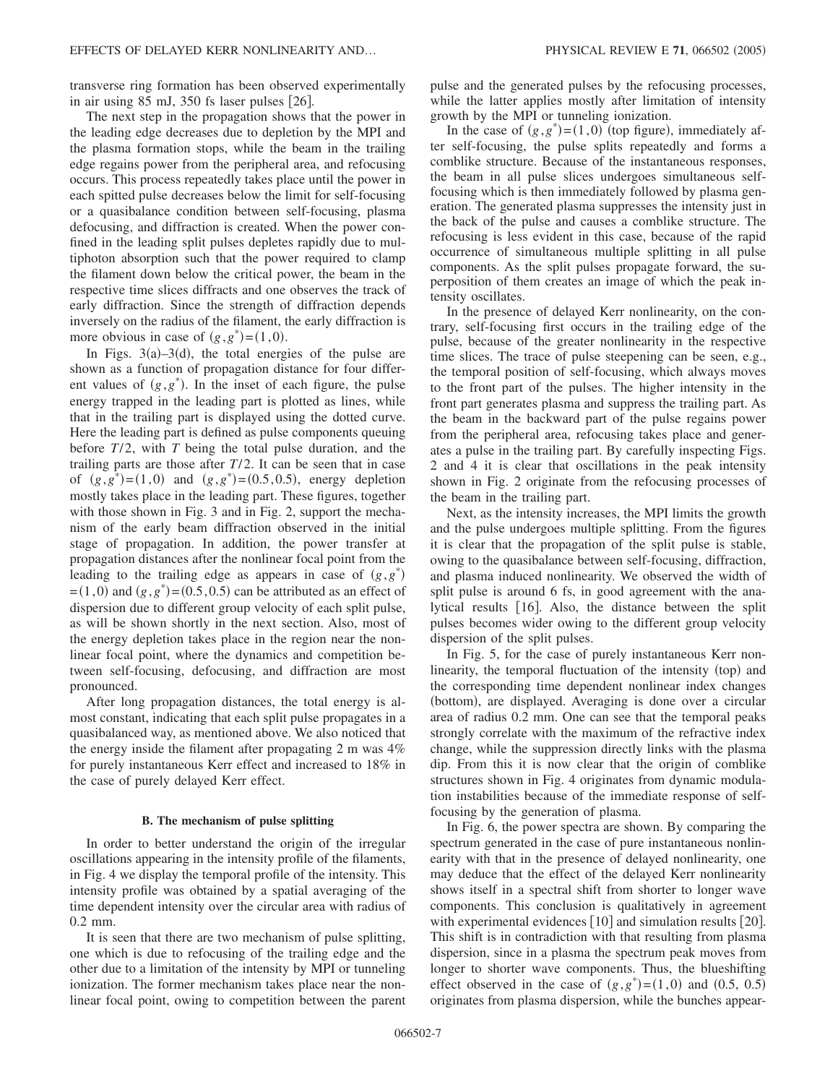transverse ring formation has been observed experimentally in air using  $85 \text{ mJ}$ ,  $350 \text{ fs}$  laser pulses  $\lceil 26 \rceil$ .

The next step in the propagation shows that the power in the leading edge decreases due to depletion by the MPI and the plasma formation stops, while the beam in the trailing edge regains power from the peripheral area, and refocusing occurs. This process repeatedly takes place until the power in each spitted pulse decreases below the limit for self-focusing or a quasibalance condition between self-focusing, plasma defocusing, and diffraction is created. When the power confined in the leading split pulses depletes rapidly due to multiphoton absorption such that the power required to clamp the filament down below the critical power, the beam in the respective time slices diffracts and one observes the track of early diffraction. Since the strength of diffraction depends inversely on the radius of the filament, the early diffraction is more obvious in case of  $(g, g^*) = (1, 0)$ .

In Figs.  $3(a) - 3(d)$ , the total energies of the pulse are shown as a function of propagation distance for four different values of  $(g, g^*)$ . In the inset of each figure, the pulse energy trapped in the leading part is plotted as lines, while that in the trailing part is displayed using the dotted curve. Here the leading part is defined as pulse components queuing before  $T/2$ , with *T* being the total pulse duration, and the trailing parts are those after  $T/2$ . It can be seen that in case of  $(g, g^*) = (1, 0)$  and  $(g, g^*) = (0.5, 0.5)$ , energy depletion mostly takes place in the leading part. These figures, together with those shown in Fig. 3 and in Fig. 2, support the mechanism of the early beam diffraction observed in the initial stage of propagation. In addition, the power transfer at propagation distances after the nonlinear focal point from the leading to the trailing edge as appears in case of  $(g, g^*)$  $=(1,0)$  and  $(g, g^*)$  = (0.5, 0.5) can be attributed as an effect of dispersion due to different group velocity of each split pulse, as will be shown shortly in the next section. Also, most of the energy depletion takes place in the region near the nonlinear focal point, where the dynamics and competition between self-focusing, defocusing, and diffraction are most pronounced.

After long propagation distances, the total energy is almost constant, indicating that each split pulse propagates in a quasibalanced way, as mentioned above. We also noticed that the energy inside the filament after propagating 2 m was 4% for purely instantaneous Kerr effect and increased to 18% in the case of purely delayed Kerr effect.

#### **B. The mechanism of pulse splitting**

In order to better understand the origin of the irregular oscillations appearing in the intensity profile of the filaments, in Fig. 4 we display the temporal profile of the intensity. This intensity profile was obtained by a spatial averaging of the time dependent intensity over the circular area with radius of 0.2 mm.

It is seen that there are two mechanism of pulse splitting, one which is due to refocusing of the trailing edge and the other due to a limitation of the intensity by MPI or tunneling ionization. The former mechanism takes place near the nonlinear focal point, owing to competition between the parent pulse and the generated pulses by the refocusing processes, while the latter applies mostly after limitation of intensity growth by the MPI or tunneling ionization.

In the case of  $(g, g^*) = (1, 0)$  (top figure), immediately after self-focusing, the pulse splits repeatedly and forms a comblike structure. Because of the instantaneous responses, the beam in all pulse slices undergoes simultaneous selffocusing which is then immediately followed by plasma generation. The generated plasma suppresses the intensity just in the back of the pulse and causes a comblike structure. The refocusing is less evident in this case, because of the rapid occurrence of simultaneous multiple splitting in all pulse components. As the split pulses propagate forward, the superposition of them creates an image of which the peak intensity oscillates.

In the presence of delayed Kerr nonlinearity, on the contrary, self-focusing first occurs in the trailing edge of the pulse, because of the greater nonlinearity in the respective time slices. The trace of pulse steepening can be seen, e.g., the temporal position of self-focusing, which always moves to the front part of the pulses. The higher intensity in the front part generates plasma and suppress the trailing part. As the beam in the backward part of the pulse regains power from the peripheral area, refocusing takes place and generates a pulse in the trailing part. By carefully inspecting Figs. 2 and 4 it is clear that oscillations in the peak intensity shown in Fig. 2 originate from the refocusing processes of the beam in the trailing part.

Next, as the intensity increases, the MPI limits the growth and the pulse undergoes multiple splitting. From the figures it is clear that the propagation of the split pulse is stable, owing to the quasibalance between self-focusing, diffraction, and plasma induced nonlinearity. We observed the width of split pulse is around 6 fs, in good agreement with the analytical results [16]. Also, the distance between the split pulses becomes wider owing to the different group velocity dispersion of the split pulses.

In Fig. 5, for the case of purely instantaneous Kerr nonlinearity, the temporal fluctuation of the intensity (top) and the corresponding time dependent nonlinear index changes (bottom), are displayed. Averaging is done over a circular area of radius 0.2 mm. One can see that the temporal peaks strongly correlate with the maximum of the refractive index change, while the suppression directly links with the plasma dip. From this it is now clear that the origin of comblike structures shown in Fig. 4 originates from dynamic modulation instabilities because of the immediate response of selffocusing by the generation of plasma.

In Fig. 6, the power spectra are shown. By comparing the spectrum generated in the case of pure instantaneous nonlinearity with that in the presence of delayed nonlinearity, one may deduce that the effect of the delayed Kerr nonlinearity shows itself in a spectral shift from shorter to longer wave components. This conclusion is qualitatively in agreement with experimental evidences  $\lceil 10 \rceil$  and simulation results  $\lceil 20 \rceil$ . This shift is in contradiction with that resulting from plasma dispersion, since in a plasma the spectrum peak moves from longer to shorter wave components. Thus, the blueshifting effect observed in the case of  $(g, g^*) = (1,0)$  and  $(0.5, 0.5)$ originates from plasma dispersion, while the bunches appear-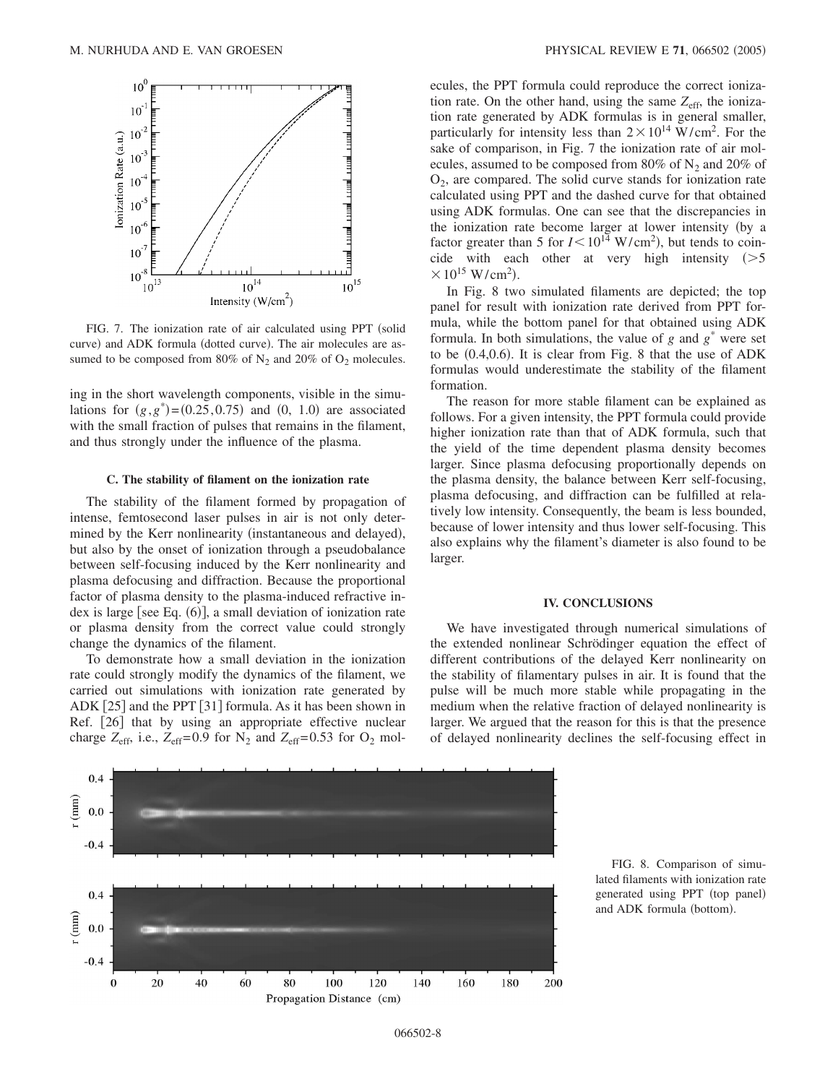

FIG. 7. The ionization rate of air calculated using PPT (solid curve) and ADK formula (dotted curve). The air molecules are assumed to be composed from 80% of  $N_2$  and 20% of  $O_2$  molecules.

ing in the short wavelength components, visible in the simulations for  $(g, g^*) = (0.25, 0.75)$  and  $(0, 1.0)$  are associated with the small fraction of pulses that remains in the filament, and thus strongly under the influence of the plasma.

### **C. The stability of filament on the ionization rate**

The stability of the filament formed by propagation of intense, femtosecond laser pulses in air is not only determined by the Kerr nonlinearity (instantaneous and delayed), but also by the onset of ionization through a pseudobalance between self-focusing induced by the Kerr nonlinearity and plasma defocusing and diffraction. Because the proportional factor of plasma density to the plasma-induced refractive index is large [see Eq. (6)], a small deviation of ionization rate or plasma density from the correct value could strongly change the dynamics of the filament.

To demonstrate how a small deviation in the ionization rate could strongly modify the dynamics of the filament, we carried out simulations with ionization rate generated by ADK  $[25]$  and the PPT  $[31]$  formula. As it has been shown in Ref. [26] that by using an appropriate effective nuclear charge  $Z_{\text{eff}}$ , i.e.,  $Z_{\text{eff}}$ = 0.9 for N<sub>2</sub> and  $Z_{\text{eff}}$ = 0.53 for O<sub>2</sub> molecules, the PPT formula could reproduce the correct ionization rate. On the other hand, using the same  $Z_{\text{eff}}$ , the ionization rate generated by ADK formulas is in general smaller, particularly for intensity less than  $2 \times 10^{14}$  W/cm<sup>2</sup>. For the sake of comparison, in Fig. 7 the ionization rate of air molecules, assumed to be composed from 80% of  $N_2$  and 20% of  $O<sub>2</sub>$ , are compared. The solid curve stands for ionization rate calculated using PPT and the dashed curve for that obtained using ADK formulas. One can see that the discrepancies in the ionization rate become larger at lower intensity (by a factor greater than 5 for  $I < 10^{14}$  W/cm<sup>2</sup>), but tends to coincide with each other at very high intensity  $(>\frac{5}{3})$  $\times 10^{15}$  W/cm<sup>2</sup>).

In Fig. 8 two simulated filaments are depicted; the top panel for result with ionization rate derived from PPT formula, while the bottom panel for that obtained using ADK formula. In both simulations, the value of  $g$  and  $g^*$  were set to be  $(0.4, 0.6)$ . It is clear from Fig. 8 that the use of ADK formulas would underestimate the stability of the filament formation.

The reason for more stable filament can be explained as follows. For a given intensity, the PPT formula could provide higher ionization rate than that of ADK formula, such that the yield of the time dependent plasma density becomes larger. Since plasma defocusing proportionally depends on the plasma density, the balance between Kerr self-focusing, plasma defocusing, and diffraction can be fulfilled at relatively low intensity. Consequently, the beam is less bounded, because of lower intensity and thus lower self-focusing. This also explains why the filament's diameter is also found to be larger.

#### **IV. CONCLUSIONS**

We have investigated through numerical simulations of the extended nonlinear Schrödinger equation the effect of different contributions of the delayed Kerr nonlinearity on the stability of filamentary pulses in air. It is found that the pulse will be much more stable while propagating in the medium when the relative fraction of delayed nonlinearity is larger. We argued that the reason for this is that the presence of delayed nonlinearity declines the self-focusing effect in



FIG. 8. Comparison of simulated filaments with ionization rate generated using PPT (top panel) and ADK formula (bottom).